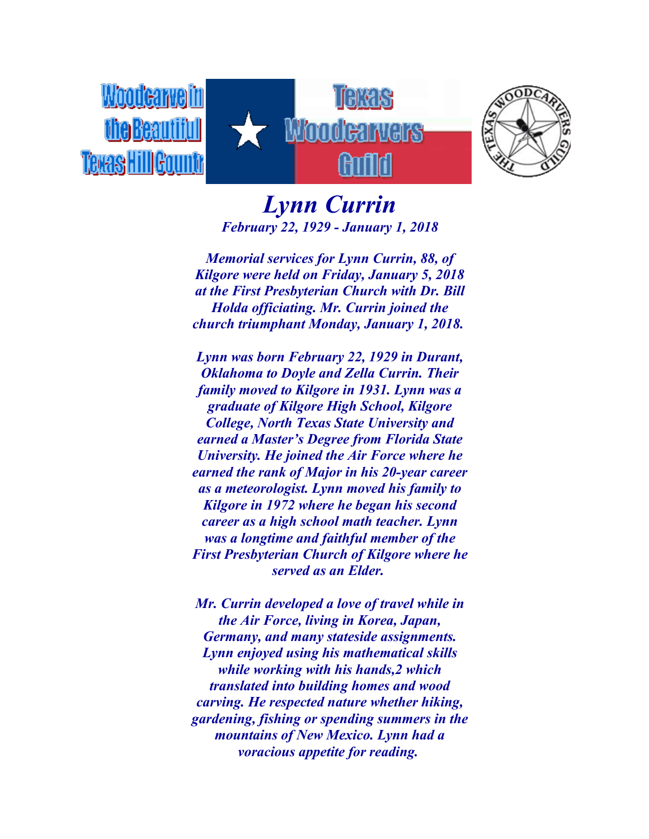



## *Lynn Currin February 22, 1929 - January 1, 2018*

*Memorial services for Lynn Currin, 88, of Kilgore were held on Friday, January 5, 2018 at the First Presbyterian Church with Dr. Bill Holda officiating. Mr. Currin joined the church triumphant Monday, January 1, 2018.*

*Lynn was born February 22, 1929 in Durant, Oklahoma to Doyle and Zella Currin. Their family moved to Kilgore in 1931. Lynn was a graduate of Kilgore High School, Kilgore College, North Texas State University and earned a Master's Degree from Florida State University. He joined the Air Force where he earned the rank of Major in his 20-year career as a meteorologist. Lynn moved his family to Kilgore in 1972 where he began his second career as a high school math teacher. Lynn was a longtime and faithful member of the First Presbyterian Church of Kilgore where he served as an Elder.*

*Mr. Currin developed a love of travel while in the Air Force, living in Korea, Japan, Germany, and many stateside assignments. Lynn enjoyed using his mathematical skills while working with his hands,2 which translated into building homes and wood carving. He respected nature whether hiking, gardening, fishing or spending summers in the mountains of New Mexico. Lynn had a voracious appetite for reading.*